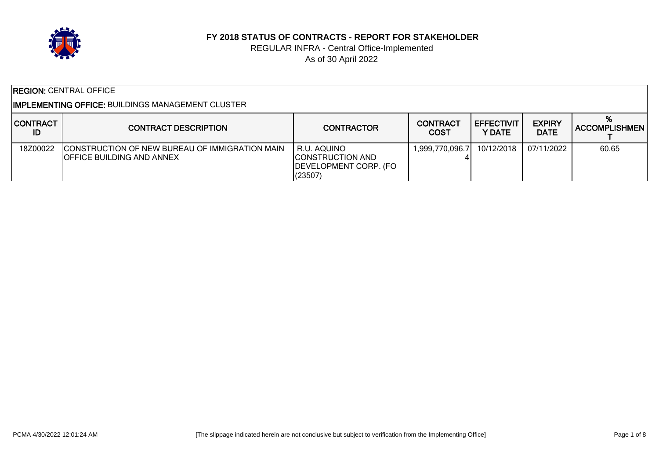

#### **FY 2018 STATUS OF CONTRACTS - REPORT FOR STAKEHOLDER**

#### REGULAR INFRA - Central Office-Implemented As of 30 April 2022

| <b>REGION: CENTRAL OFFICE</b>                              |                                                                                             |                                                                            |                         |                         |                              |                           |  |
|------------------------------------------------------------|---------------------------------------------------------------------------------------------|----------------------------------------------------------------------------|-------------------------|-------------------------|------------------------------|---------------------------|--|
| I <b>IMPLEMENTING OFFICE:</b> BUILDINGS MANAGEMENT CLUSTER |                                                                                             |                                                                            |                         |                         |                              |                           |  |
| <b>CONTRACT</b><br>ID                                      | <b>CONTRACT DESCRIPTION</b>                                                                 | <b>CONTRACTOR</b>                                                          | <b>CONTRACT</b><br>COST | I EFFECTIVIT<br>Y DATE. | <b>EXPIRY</b><br><b>DATE</b> | %<br><b>ACCOMPLISHMEN</b> |  |
| 18Z00022                                                   | <b>ICONSTRUCTION OF NEW BUREAU OF IMMIGRATION MAIN</b><br><b>IOFFICE BUILDING AND ANNEX</b> | R.U. AQUINO<br><b>CONSTRUCTION AND</b><br>DEVELOPMENT CORP. (FO<br>(23507) | 1,999,770,096.7         | 10/12/2018              | 07/11/2022                   | 60.65                     |  |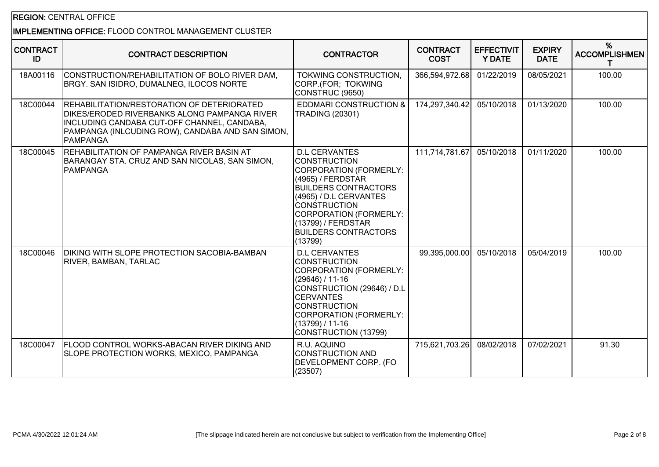## REGION: CENTRAL OFFICE

# IMPLEMENTING OFFICE: FLOOD CONTROL MANAGEMENT CLUSTER

| <b>CONTRACT</b><br>ID | <b>CONTRACT DESCRIPTION</b>                                                                                                                                                                                             | <b>CONTRACTOR</b>                                                                                                                                                                                                                                                    | <b>CONTRACT</b><br><b>COST</b> | <b>EFFECTIVIT</b><br><b>Y DATE</b> | <b>EXPIRY</b><br><b>DATE</b> | %<br><b>ACCOMPLISHMEN</b><br>T. |
|-----------------------|-------------------------------------------------------------------------------------------------------------------------------------------------------------------------------------------------------------------------|----------------------------------------------------------------------------------------------------------------------------------------------------------------------------------------------------------------------------------------------------------------------|--------------------------------|------------------------------------|------------------------------|---------------------------------|
| 18A00116              | CONSTRUCTION/REHABILITATION OF BOLO RIVER DAM,<br>BRGY. SAN ISIDRO, DUMALNEG, ILOCOS NORTE                                                                                                                              | TOKWING CONSTRUCTION,<br>CORP.(FOR; TOKWING<br>CONSTRUC (9650)                                                                                                                                                                                                       | 366,594,972.68                 | 01/22/2019                         | 08/05/2021                   | 100.00                          |
| 18C00044              | <b>REHABILITATION/RESTORATION OF DETERIORATED</b><br><b>DIKES/ERODED RIVERBANKS ALONG PAMPANGA RIVER</b><br>INCLUDING CANDABA CUT-OFF CHANNEL, CANDABA,<br>PAMPANGA (INLCUDING ROW), CANDABA AND SAN SIMON,<br>PAMPANGA | <b>EDDMARI CONSTRUCTION &amp;</b><br><b>TRADING (20301)</b>                                                                                                                                                                                                          | 174,297,340.42                 | 05/10/2018                         | 01/13/2020                   | 100.00                          |
| 18C00045              | REHABILITATION OF PAMPANGA RIVER BASIN AT<br>BARANGAY STA. CRUZ AND SAN NICOLAS, SAN SIMON,<br><b>PAMPANGA</b>                                                                                                          | <b>D.L CERVANTES</b><br><b>CONSTRUCTION</b><br>CORPORATION (FORMERLY:<br>(4965) / FERDSTAR<br><b>BUILDERS CONTRACTORS</b><br>(4965) / D.L CERVANTES<br><b>CONSTRUCTION</b><br>CORPORATION (FORMERLY:<br>(13799) / FERDSTAR<br><b>BUILDERS CONTRACTORS</b><br>(13799) | 111,714,781.67                 | 05/10/2018                         | 01/11/2020                   | 100.00                          |
| 18C00046              | <b>DIKING WITH SLOPE PROTECTION SACOBIA-BAMBAN</b><br><b>RIVER, BAMBAN, TARLAC</b>                                                                                                                                      | <b>D.L CERVANTES</b><br><b>CONSTRUCTION</b><br>CORPORATION (FORMERLY:<br>$(29646) / 11-16$<br>CONSTRUCTION (29646) / D.L<br><b>ICERVANTES</b><br><b>CONSTRUCTION</b><br>CORPORATION (FORMERLY:<br>$(13799) / 11 - 16$<br>CONSTRUCTION (13799)                        | 99,395,000.00                  | 05/10/2018                         | 05/04/2019                   | 100.00                          |
| 18C00047              | <b>FLOOD CONTROL WORKS-ABACAN RIVER DIKING AND</b><br>SLOPE PROTECTION WORKS, MEXICO, PAMPANGA                                                                                                                          | R.U. AQUINO<br><b>CONSTRUCTION AND</b><br>DEVELOPMENT CORP. (FO<br>(23507)                                                                                                                                                                                           | 715,621,703.26                 | 08/02/2018                         | 07/02/2021                   | 91.30                           |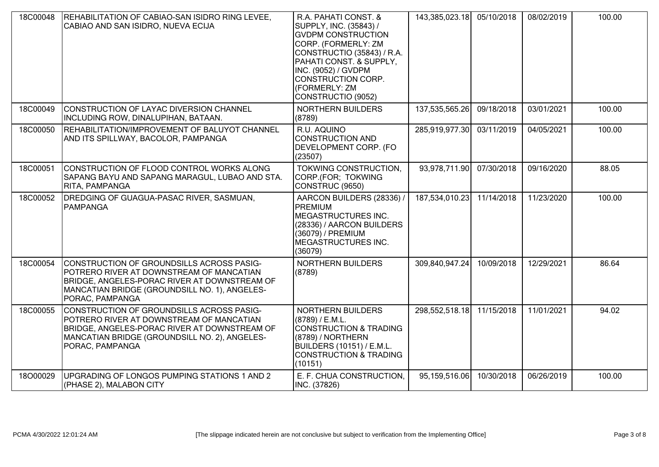| 18C00048 | REHABILITATION OF CABIAO-SAN ISIDRO RING LEVEE,<br>CABIAO AND SAN ISIDRO, NUEVA ECIJA                                                                                                                     | R.A. PAHATI CONST. &<br>SUPPLY, INC. (35843) /<br><b>GVDPM CONSTRUCTION</b><br>CORP. (FORMERLY: ZM<br>CONSTRUCTIO (35843) / R.A.<br>PAHATI CONST. & SUPPLY,<br>INC. (9052) / GVDPM<br>CONSTRUCTION CORP.<br>(FORMERLY: ZM<br>CONSTRUCTIO (9052) | 143,385,023.18 | 05/10/2018 | 08/02/2019 | 100.00 |
|----------|-----------------------------------------------------------------------------------------------------------------------------------------------------------------------------------------------------------|-------------------------------------------------------------------------------------------------------------------------------------------------------------------------------------------------------------------------------------------------|----------------|------------|------------|--------|
| 18C00049 | CONSTRUCTION OF LAYAC DIVERSION CHANNEL<br>INCLUDING ROW, DINALUPIHAN, BATAAN.                                                                                                                            | <b>NORTHERN BUILDERS</b><br>(8789)                                                                                                                                                                                                              | 137,535,565.26 | 09/18/2018 | 03/01/2021 | 100.00 |
| 18C00050 | REHABILITATION/IMPROVEMENT OF BALUYOT CHANNEL<br>AND ITS SPILLWAY, BACOLOR, PAMPANGA                                                                                                                      | R.U. AQUINO<br><b>CONSTRUCTION AND</b><br>DEVELOPMENT CORP. (FO<br>(23507)                                                                                                                                                                      | 285,919,977.30 | 03/11/2019 | 04/05/2021 | 100.00 |
| 18C00051 | CONSTRUCTION OF FLOOD CONTROL WORKS ALONG<br>SAPANG BAYU AND SAPANG MARAGUL, LUBAO AND STA.<br>RITA, PAMPANGA                                                                                             | TOKWING CONSTRUCTION,<br>CORP.(FOR; TOKWING<br>CONSTRUC (9650)                                                                                                                                                                                  | 93,978,711.90  | 07/30/2018 | 09/16/2020 | 88.05  |
| 18C00052 | DREDGING OF GUAGUA-PASAC RIVER, SASMUAN,<br>PAMPANGA                                                                                                                                                      | AARCON BUILDERS (28336) /<br><b>PREMIUM</b><br>MEGASTRUCTURES INC.<br>(28336) / AARCON BUILDERS<br>(36079) / PREMIUM<br>MEGASTRUCTURES INC.<br>(36079)                                                                                          | 187,534,010.23 | 11/14/2018 | 11/23/2020 | 100.00 |
| 18C00054 | CONSTRUCTION OF GROUNDSILLS ACROSS PASIG-<br>POTRERO RIVER AT DOWNSTREAM OF MANCATIAN<br>BRIDGE, ANGELES-PORAC RIVER AT DOWNSTREAM OF<br>MANCATIAN BRIDGE (GROUNDSILL NO. 1), ANGELES-<br>PORAC, PAMPANGA | NORTHERN BUILDERS<br>(8789)                                                                                                                                                                                                                     | 309,840,947.24 | 10/09/2018 | 12/29/2021 | 86.64  |
| 18C00055 | CONSTRUCTION OF GROUNDSILLS ACROSS PASIG-<br>POTRERO RIVER AT DOWNSTREAM OF MANCATIAN<br>BRIDGE, ANGELES-PORAC RIVER AT DOWNSTREAM OF<br>MANCATIAN BRIDGE (GROUNDSILL NO. 2), ANGELES-<br>PORAC, PAMPANGA | NORTHERN BUILDERS<br>(8789) / E.M.L.<br>CONSTRUCTION & TRADING<br>(8789) / NORTHERN<br><b>BUILDERS (10151) / E.M.L.</b><br><b>CONSTRUCTION &amp; TRADING</b><br>(10151)                                                                         | 298,552,518.18 | 11/15/2018 | 11/01/2021 | 94.02  |
| 18O00029 | UPGRADING OF LONGOS PUMPING STATIONS 1 AND 2<br>(PHASE 2), MALABON CITY                                                                                                                                   | E. F. CHUA CONSTRUCTION,<br>INC. (37826)                                                                                                                                                                                                        | 95,159,516.06  | 10/30/2018 | 06/26/2019 | 100.00 |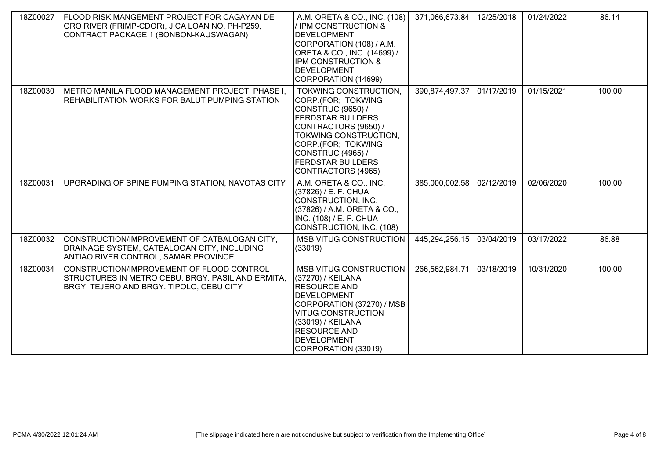| 18Z00027 | <b>FLOOD RISK MANGEMENT PROJECT FOR CAGAYAN DE</b><br>ORO RIVER (FRIMP-CDOR), JICA LOAN NO. PH-P259,<br>CONTRACT PACKAGE 1 (BONBON-KAUSWAGAN) | A.M. ORETA & CO., INC. (108)<br>/ IPM CONSTRUCTION &<br><b>IDEVELOPMENT</b><br>CORPORATION (108) / A.M.<br>ORETA & CO., INC. (14699) /<br>IPM CONSTRUCTION &<br><b>DEVELOPMENT</b><br>CORPORATION (14699)                                         | 371,066,673.84 | 12/25/2018 | 01/24/2022 | 86.14  |
|----------|-----------------------------------------------------------------------------------------------------------------------------------------------|---------------------------------------------------------------------------------------------------------------------------------------------------------------------------------------------------------------------------------------------------|----------------|------------|------------|--------|
| 18Z00030 | METRO MANILA FLOOD MANAGEMENT PROJECT, PHASE I,<br>REHABILITATION WORKS FOR BALUT PUMPING STATION                                             | TOKWING CONSTRUCTION.<br>CORP.(FOR; TOKWING<br>CONSTRUC (9650) /<br><b>FERDSTAR BUILDERS</b><br>CONTRACTORS (9650) /<br>TOKWING CONSTRUCTION,<br>CORP.(FOR; TOKWING<br><b>CONSTRUC (4965) /</b><br><b>FERDSTAR BUILDERS</b><br>CONTRACTORS (4965) | 390,874,497.37 | 01/17/2019 | 01/15/2021 | 100.00 |
| 18Z00031 | UPGRADING OF SPINE PUMPING STATION, NAVOTAS CITY                                                                                              | A.M. ORETA & CO., INC.<br>(37826) / E. F. CHUA<br>CONSTRUCTION, INC.<br>(37826) / A.M. ORETA & CO.,<br>INC. (108) / E. F. CHUA<br>CONSTRUCTION, INC. (108)                                                                                        | 385,000,002.58 | 02/12/2019 | 02/06/2020 | 100.00 |
| 18Z00032 | CONSTRUCTION/IMPROVEMENT OF CATBALOGAN CITY,<br>DRAINAGE SYSTEM, CATBALOGAN CITY, INCLUDING<br><b>ANTIAO RIVER CONTROL, SAMAR PROVINCE</b>    | <b>MSB VITUG CONSTRUCTION</b><br>(33019)                                                                                                                                                                                                          | 445,294,256.15 | 03/04/2019 | 03/17/2022 | 86.88  |
| 18Z00034 | CONSTRUCTION/IMPROVEMENT OF FLOOD CONTROL<br>STRUCTURES IN METRO CEBU, BRGY. PASIL AND ERMITA,<br>BRGY. TEJERO AND BRGY. TIPOLO, CEBU CITY    | <b>MSB VITUG CONSTRUCTION</b><br>(37270) / KEILANA<br><b>RESOURCE AND</b><br><b>DEVELOPMENT</b><br>CORPORATION (37270) / MSB<br><b>VITUG CONSTRUCTION</b><br>(33019) / KEILANA<br><b>RESOURCE AND</b><br>DEVELOPMENT<br>CORPORATION (33019)       | 266,562,984.71 | 03/18/2019 | 10/31/2020 | 100.00 |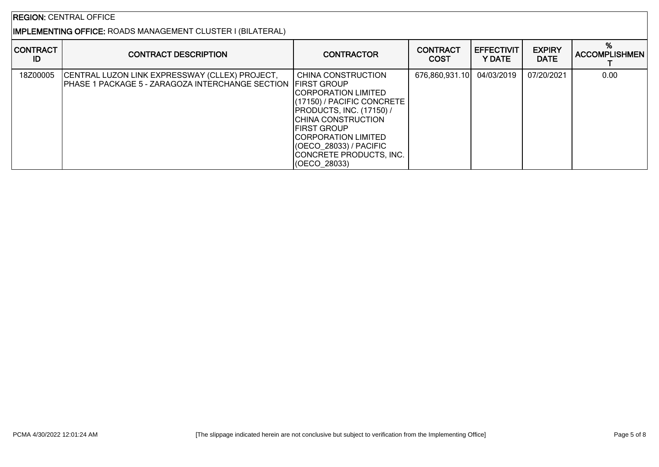## REGION: CENTRAL OFFICE

## IMPLEMENTING OFFICE: ROADS MANAGEMENT CLUSTER I (BILATERAL)

| <b>CONTRACT</b><br>ID | <b>CONTRACT DESCRIPTION</b>                                                                                    | <b>CONTRACTOR</b>                                                                                                                                                                                                                                             | <b>CONTRACT</b><br><b>COST</b> | <b>EFFECTIVIT</b><br>Y DATE | <b>EXPIRY</b><br><b>DATE</b> | %<br><b>ACCOMPLISHMEN</b> |
|-----------------------|----------------------------------------------------------------------------------------------------------------|---------------------------------------------------------------------------------------------------------------------------------------------------------------------------------------------------------------------------------------------------------------|--------------------------------|-----------------------------|------------------------------|---------------------------|
| 18Z00005              | CENTRAL LUZON LINK EXPRESSWAY (CLLEX) PROJECT,<br>PHASE 1 PACKAGE 5 - ZARAGOZA INTERCHANGE SECTION FIRST GROUP | CHINA CONSTRUCTION<br><b>ICORPORATION LIMITED</b><br>(17150) / PACIFIC CONCRETE<br><b>PRODUCTS, INC. (17150) /</b><br>ICHINA CONSTRUCTION<br>IFIRST GROUP<br><b>ICORPORATION LIMITED</b><br>(OECO 28033) / PACIFIC<br>CONCRETE PRODUCTS, INC.<br>(OECO 28033) | 676,860,931.10                 | 04/03/2019                  | 07/20/2021                   | 0.00                      |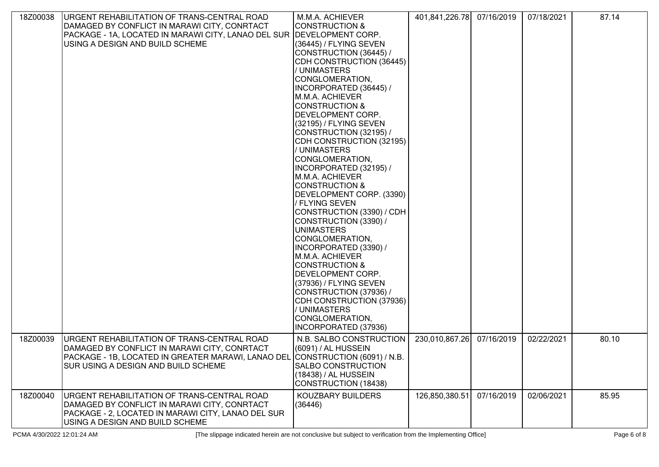| 18Z00038 | URGENT REHABILITATION OF TRANS-CENTRAL ROAD<br>DAMAGED BY CONFLICT IN MARAWI CITY, CONRTACT<br>PACKAGE - 1A, LOCATED IN MARAWI CITY, LANAO DEL SUR DEVELOPMENT CORP.<br>USING A DESIGN AND BUILD SCHEME             | M.M.A. ACHIEVER<br><b>CONSTRUCTION &amp;</b><br>(36445) / FLYING SEVEN<br>CONSTRUCTION (36445) /<br>CDH CONSTRUCTION (36445)<br>/ UNIMASTERS<br>CONGLOMERATION,<br>INCORPORATED (36445) /<br>M.M.A. ACHIEVER<br>CONSTRUCTION &<br>DEVELOPMENT CORP.<br>(32195) / FLYING SEVEN<br>CONSTRUCTION (32195) /<br>CDH CONSTRUCTION (32195)<br>/ UNIMASTERS<br>CONGLOMERATION,<br>INCORPORATED (32195) /<br> M.M.A. ACHIEVER <br>CONSTRUCTION &<br>DEVELOPMENT CORP. (3390)<br>/ FLYING SEVEN<br>CONSTRUCTION (3390) / CDH<br>CONSTRUCTION (3390) /<br><b>UNIMASTERS</b><br>CONGLOMERATION,<br>INCORPORATED (3390) /<br>M.M.A. ACHIEVER<br><b>CONSTRUCTION &amp;</b><br>DEVELOPMENT CORP.<br>(37936) / FLYING SEVEN<br>CONSTRUCTION (37936) /<br>CDH CONSTRUCTION (37936)<br>/ UNIMASTERS<br>CONGLOMERATION,<br><b>INCORPORATED (37936)</b> | 401,841,226.78 | 07/16/2019 | 07/18/2021 | 87.14 |
|----------|---------------------------------------------------------------------------------------------------------------------------------------------------------------------------------------------------------------------|-------------------------------------------------------------------------------------------------------------------------------------------------------------------------------------------------------------------------------------------------------------------------------------------------------------------------------------------------------------------------------------------------------------------------------------------------------------------------------------------------------------------------------------------------------------------------------------------------------------------------------------------------------------------------------------------------------------------------------------------------------------------------------------------------------------------------------------|----------------|------------|------------|-------|
|          |                                                                                                                                                                                                                     |                                                                                                                                                                                                                                                                                                                                                                                                                                                                                                                                                                                                                                                                                                                                                                                                                                     |                |            |            |       |
| 18Z00039 | URGENT REHABILITATION OF TRANS-CENTRAL ROAD<br>DAMAGED BY CONFLICT IN MARAWI CITY, CONRTACT<br>PACKAGE - 1B, LOCATED IN GREATER MARAWI, LANAO DEL CONSTRUCTION (6091) / N.B.<br>SUR USING A DESIGN AND BUILD SCHEME | N.B. SALBO CONSTRUCTION<br>(6091) / AL HUSSEIN<br><b>SALBO CONSTRUCTION</b><br>(18438) / AL HUSSEIN<br>CONSTRUCTION (18438)                                                                                                                                                                                                                                                                                                                                                                                                                                                                                                                                                                                                                                                                                                         | 230,010,867.26 | 07/16/2019 | 02/22/2021 | 80.10 |
| 18Z00040 | URGENT REHABILITATION OF TRANS-CENTRAL ROAD<br>DAMAGED BY CONFLICT IN MARAWI CITY, CONRTACT<br>PACKAGE - 2, LOCATED IN MARAWI CITY, LANAO DEL SUR<br>USING A DESIGN AND BUILD SCHEME                                | KOUZBARY BUILDERS<br>(36446)                                                                                                                                                                                                                                                                                                                                                                                                                                                                                                                                                                                                                                                                                                                                                                                                        | 126,850,380.51 | 07/16/2019 | 02/06/2021 | 85.95 |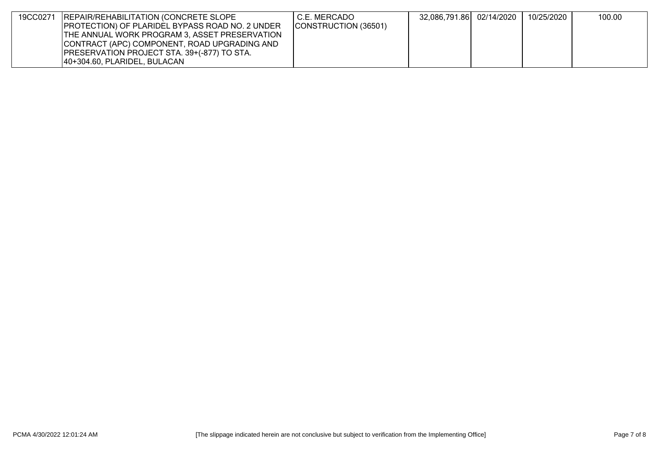| 19CC0271 | <b>IREPAIR/REHABILITATION (CONCRETE SLOPE</b>           | I C.E. MERCADO       | 32,086,791.86 02/14/2020 | 10/25/2020 | 100.00 |
|----------|---------------------------------------------------------|----------------------|--------------------------|------------|--------|
|          | <b>IPROTECTION) OF PLARIDEL BYPASS ROAD NO. 2 UNDER</b> | CONSTRUCTION (36501) |                          |            |        |
|          | <b>ITHE ANNUAL WORK PROGRAM 3, ASSET PRESERVATION</b>   |                      |                          |            |        |
|          | CONTRACT (APC) COMPONENT, ROAD UPGRADING AND            |                      |                          |            |        |
|          | <b>IPRESERVATION PROJECT STA. 39+(-877) TO STA.</b>     |                      |                          |            |        |
|          | 140+304.60, PLARIDEL, BULACAN                           |                      |                          |            |        |